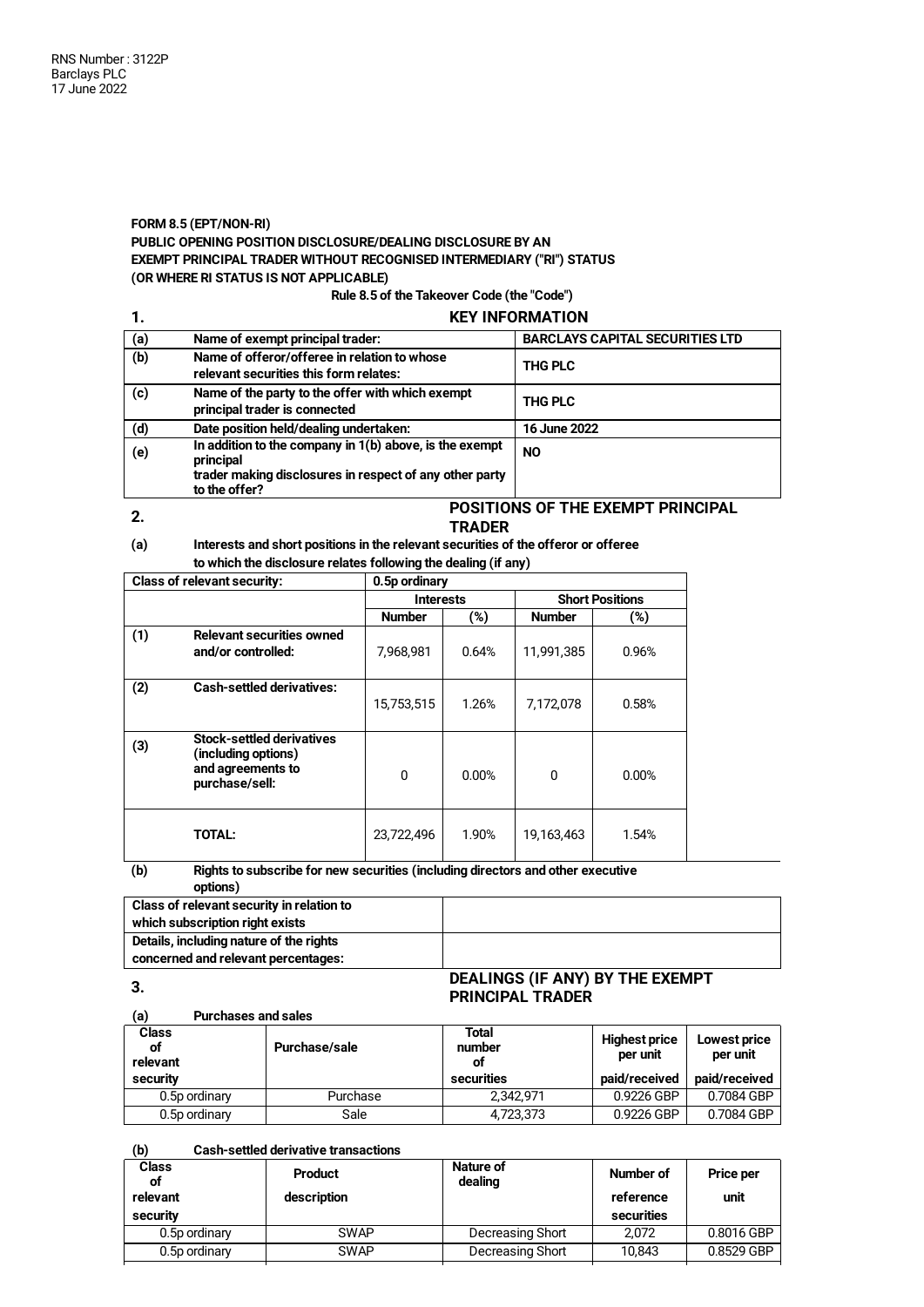## **FORM 8.5 (EPT/NON-RI) PUBLIC OPENING POSITION DISCLOSURE/DEALING DISCLOSURE BY AN**

# **EXEMPT PRINCIPAL TRADER WITHOUT RECOGNISED INTERMEDIARY ("RI") STATUS**

**(OR WHERE RI STATUS IS NOT APPLICABLE)**

## **Rule 8.5 of the Takeover Code (the "Code")**

## **1. KEY INFORMATION**

| (a) | Name of exempt principal trader:                                                                                                                   | <b>BARCLAYS CAPITAL SECURITIES LTD</b> |
|-----|----------------------------------------------------------------------------------------------------------------------------------------------------|----------------------------------------|
| (b) | Name of offeror/offeree in relation to whose<br>relevant securities this form relates:                                                             | <b>THG PLC</b>                         |
| (c) | Name of the party to the offer with which exempt<br>principal trader is connected                                                                  | <b>THG PLC</b>                         |
| (d) | Date position held/dealing undertaken:                                                                                                             | 16 June 2022                           |
| (e) | In addition to the company in $1(b)$ above, is the exempt<br>principal<br>trader making disclosures in respect of any other party<br>to the offer? | <b>NO</b>                              |

#### **2.**

#### **POSITIONS OF THE EXEMPT PRINCIPAL TRADER**

#### **(a) Interests and short positions in the relevant securities of the offeror or offeree to which the disclosure relates following the dealing (if any)**

| <b>Class of relevant security:</b> |                                                                                                | 0.5p ordinary |                  |               |                        |  |
|------------------------------------|------------------------------------------------------------------------------------------------|---------------|------------------|---------------|------------------------|--|
|                                    |                                                                                                |               | <b>Interests</b> |               | <b>Short Positions</b> |  |
|                                    |                                                                                                | <b>Number</b> | (%)              | <b>Number</b> | (%)                    |  |
| (1)                                | <b>Relevant securities owned</b><br>and/or controlled:                                         | 7,968,981     | 0.64%            | 11,991,385    | 0.96%                  |  |
| (2)                                | <b>Cash-settled derivatives:</b>                                                               | 15,753,515    | 1.26%            | 7,172,078     | 0.58%                  |  |
| (3)                                | <b>Stock-settled derivatives</b><br>(including options)<br>and agreements to<br>purchase/sell: | 0             | 0.00%            | 0             | 0.00%                  |  |
|                                    | <b>TOTAL:</b>                                                                                  | 23,722,496    | 1.90%            | 19,163,463    | 1.54%                  |  |

#### **(b) Rights to subscribe for new securities (including directors and other executive options)**

| Class of relevant security in relation to |                                        |
|-------------------------------------------|----------------------------------------|
| which subscription right exists           |                                        |
| Details, including nature of the rights   |                                        |
| concerned and relevant percentages:       |                                        |
|                                           | <b>DEALINGS (IE ANV) BY THE EVEMPT</b> |

**3.**

## **DEALINGS (IF ANY) BY THE EXEMPT PRINCIPAL TRADER**

| (a)<br><b>Purchases and sales</b> |               |                       |                                  |                          |
|-----------------------------------|---------------|-----------------------|----------------------------------|--------------------------|
| <b>Class</b><br>οf<br>relevant    | Purchase/sale | Total<br>number<br>οf | <b>Highest price</b><br>per unit | Lowest price<br>per unit |
| security                          |               | securities            | paid/received                    | paid/received            |
| 0.5p ordinary                     | Purchase      | 2.342.971             | 0.9226 GBP                       | 0.7084 GBP               |
| 0.5p ordinary                     | Sale          | 4,723,373             | 0.9226 GBP                       | 0.7084 GBP               |

#### **(b) Cash-settled derivative transactions**

| <b>Class</b><br>оf<br>relevant<br>security | <b>Product</b><br>description | Nature of<br>dealing | Number of<br>reference<br>securities | <b>Price per</b><br>unit |
|--------------------------------------------|-------------------------------|----------------------|--------------------------------------|--------------------------|
| 0.5p ordinary                              | <b>SWAP</b>                   | Decreasing Short     | 2.072                                | 0.8016 GBP               |
| 0.5p ordinary                              | <b>SWAP</b>                   | Decreasing Short     | 10.843                               | 0.8529 GBP               |
|                                            |                               |                      |                                      |                          |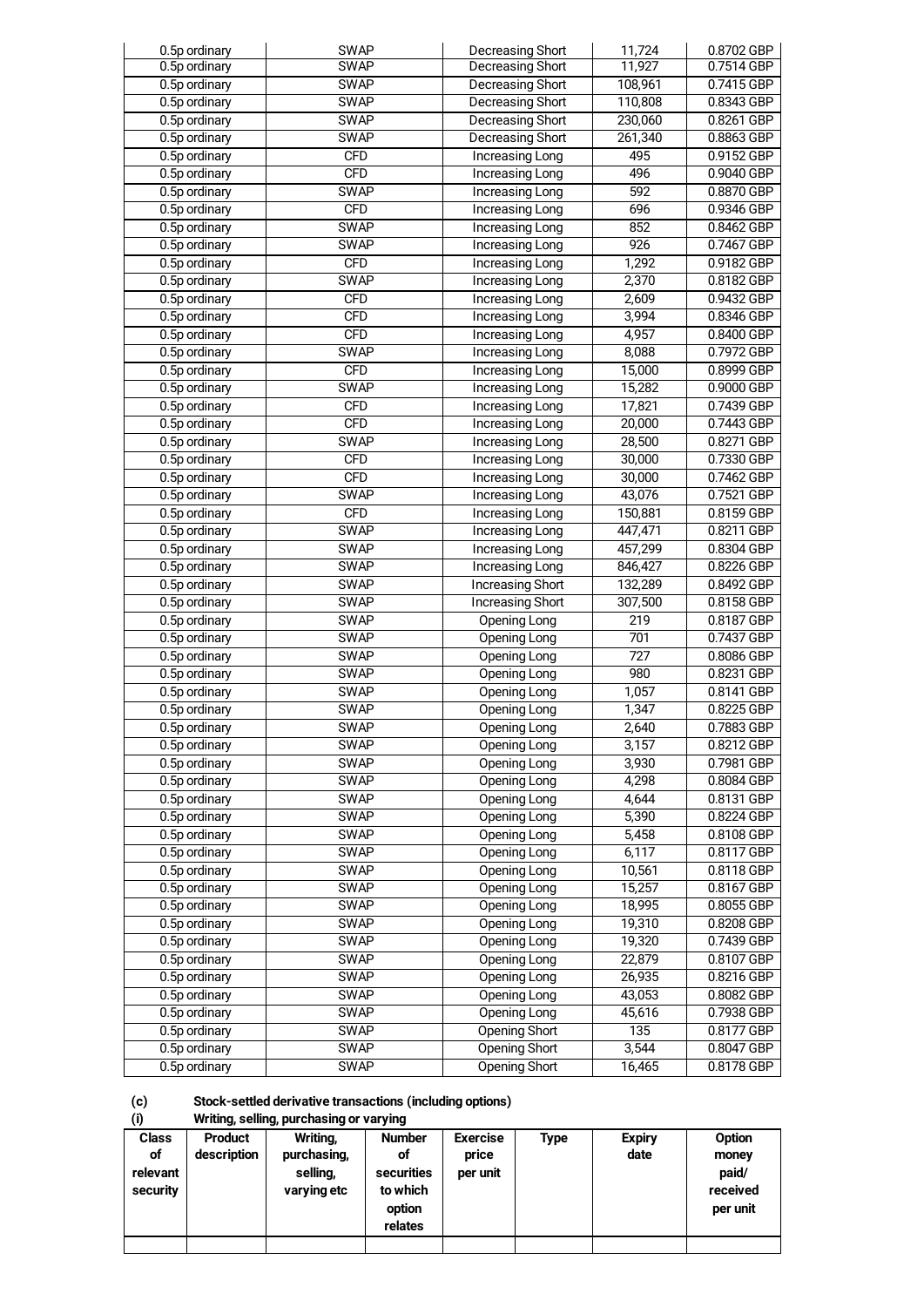| 0.5p ordinary   | <b>SWAP</b>              | Decreasing Short        | 11,724           | 0.8702 GBP               |
|-----------------|--------------------------|-------------------------|------------------|--------------------------|
| 0.5p ordinary   | <b>SWAP</b>              | Decreasing Short        | 11,927           | 0.7514 GBP               |
| 0.5p ordinary   | <b>SWAP</b>              | Decreasing Short        | 108,961          | 0.7415 GBP               |
| $0.5p$ ordinary | <b>SWAP</b>              | <b>Decreasing Short</b> | 110,808          | 0.8343 GBP               |
| 0.5p ordinary   | <b>SWAP</b>              | Decreasing Short        | 230,060          | 0.8261 GBP               |
| 0.5p ordinary   | <b>SWAP</b>              | Decreasing Short        | 261,340          | 0.8863 GBP               |
| 0.5p ordinary   | <b>CFD</b>               | Increasing Long         | 495              | 0.9152 GBP               |
| 0.5p ordinary   | CFD                      | Increasing Long         | 496              | 0.9040 GBP               |
| 0.5p ordinary   | <b>SWAP</b>              | Increasing Long         | 592              | 0.8870 GBP               |
| 0.5p ordinary   | <b>CFD</b>               | Increasing Long         | 696              | 0.9346 GBP               |
| 0.5p ordinary   | <b>SWAP</b>              | Increasing Long         | 852              | 0.8462 GBP               |
| 0.5p ordinary   | <b>SWAP</b>              | Increasing Long         | 926              | 0.7467 GBP               |
| 0.5p ordinary   | <b>CFD</b>               | Increasing Long         | 1,292            | 0.9182 GBP               |
| 0.5p ordinary   | <b>SWAP</b>              | Increasing Long         | 2,370            | 0.8182 GBP               |
| 0.5p ordinary   | <b>CFD</b>               | Increasing Long         | 2,609            | 0.9432 GBP               |
| 0.5p ordinary   | <b>CFD</b>               | Increasing Long         | 3,994            | 0.8346 GBP               |
| 0.5p ordinary   | <b>CFD</b>               | Increasing Long         | 4,957            | 0.8400 GBP               |
| 0.5p ordinary   | <b>SWAP</b>              | Increasing Long         | 8,088            | 0.7972 GBP               |
| 0.5p ordinary   | <b>CFD</b>               | Increasing Long         | 15,000           | 0.8999 GBP               |
| 0.5p ordinary   | <b>SWAP</b>              | Increasing Long         | 15,282           | 0.9000 GBP               |
| 0.5p ordinary   | <b>CFD</b>               | Increasing Long         | 17,821           | 0.7439 GBP               |
| 0.5p ordinary   | <b>CFD</b>               | <b>Increasing Long</b>  | 20,000           | 0.7443 GBP               |
| 0.5p ordinary   | <b>SWAP</b>              | Increasing Long         | 28,500           | 0.8271 GBP               |
|                 |                          |                         |                  |                          |
| 0.5p ordinary   | <b>CFD</b><br><b>CFD</b> | Increasing Long         | 30,000           | 0.7330 GBP<br>0.7462 GBP |
| 0.5p ordinary   |                          | Increasing Long         | 30,000           |                          |
| 0.5p ordinary   | <b>SWAP</b>              | Increasing Long         | 43,076           | 0.7521 GBP               |
| 0.5p ordinary   | <b>CFD</b>               | Increasing Long         | 150,881          | 0.8159 GBP               |
| 0.5p ordinary   | <b>SWAP</b>              | Increasing Long         | 447,471          | 0.8211 GBP               |
| 0.5p ordinary   | <b>SWAP</b>              | Increasing Long         | 457,299          | 0.8304 GBP               |
| 0.5p ordinary   | <b>SWAP</b>              | Increasing Long         | 846,427          | 0.8226 GBP               |
| 0.5p ordinary   | <b>SWAP</b>              | <b>Increasing Short</b> | 132,289          | 0.8492 GBP               |
| 0.5p ordinary   | <b>SWAP</b>              | <b>Increasing Short</b> | 307,500          | 0.8158 GBP               |
| 0.5p ordinary   | <b>SWAP</b>              | Opening Long            | 219              | 0.8187 GBP               |
| 0.5p ordinary   | <b>SWAP</b>              | Opening Long            | 701              | 0.7437 GBP               |
| 0.5p ordinary   | <b>SWAP</b>              | Opening Long            | $\overline{727}$ | 0.8086 GBP               |
| 0.5p ordinary   | <b>SWAP</b>              | Opening Long            | 980              | 0.8231 GBP               |
| 0.5p ordinary   | <b>SWAP</b>              | Opening Long            | 1,057            | 0.8141 GBP               |
| 0.5p ordinary   | <b>SWAP</b>              | Opening Long            | 1,347            | 0.8225 GBP               |
| 0.5p ordinary   | <b>SWAP</b>              | <b>Opening Long</b>     | 2,640            | 0.7883 GBP               |
| 0.5p ordinary   | <b>SWAP</b>              | <b>Opening Long</b>     | 3,157            | 0.8212 GBP               |
| 0.5p ordinary   | <b>SWAP</b>              | Opening Long            | 3,930            | 0.7981 GBP               |
| 0.5p ordinary   | <b>SWAP</b>              | Opening Long            | 4,298            | 0.8084 GBP               |
| 0.5p ordinary   | <b>SWAP</b>              | Opening Long            | 4,644            | 0.8131 GBP               |
| 0.5p ordinary   | <b>SWAP</b>              | Opening Long            | 5,390            | 0.8224 GBP               |
| 0.5p ordinary   | <b>SWAP</b>              | Opening Long            | 5,458            | 0.8108 GBP               |
| 0.5p ordinary   | <b>SWAP</b>              | Opening Long            | 6,117            | 0.8117 GBP               |
| 0.5p ordinary   | <b>SWAP</b>              | <b>Opening Long</b>     | 10,561           | 0.8118 GBP               |
| 0.5p ordinary   | <b>SWAP</b>              | Opening Long            | 15,257           | 0.8167 GBP               |
| 0.5p ordinary   | <b>SWAP</b>              | Opening Long            | 18,995           | 0.8055 GBP               |
| 0.5p ordinary   | <b>SWAP</b>              | Opening Long            | 19,310           | 0.8208 GBP               |
| 0.5p ordinary   | <b>SWAP</b>              | Opening Long            | 19,320           | 0.7439 GBP               |
| 0.5p ordinary   | <b>SWAP</b>              | Opening Long            | 22,879           | 0.8107 GBP               |
| 0.5p ordinary   | <b>SWAP</b>              | Opening Long            | 26,935           | 0.8216 GBP               |
| 0.5p ordinary   | <b>SWAP</b>              | Opening Long            | 43,053           | 0.8082 GBP               |
| 0.5p ordinary   | <b>SWAP</b>              | Opening Long            | 45,616           | 0.7938 GBP               |
| 0.5p ordinary   | <b>SWAP</b>              | Opening Short           | 135              | 0.8177 GBP               |
| 0.5p ordinary   | <b>SWAP</b>              | <b>Opening Short</b>    | 3,544            | 0.8047 GBP               |
| 0.5p ordinary   | <b>SWAP</b>              | Opening Short           | 16,465           | 0.8178 GBP               |
|                 |                          |                         |                  |                          |

### **(c) Stock-settled derivative transactions (including options)**

**(i) Writing, selling, purchasing or varying Class Product Writing, Number Exercise Type Expiry Option of description purchasing, of price date money relevant selling, securities per unit paid/ security varying etc to** which **received option per per unit relates**